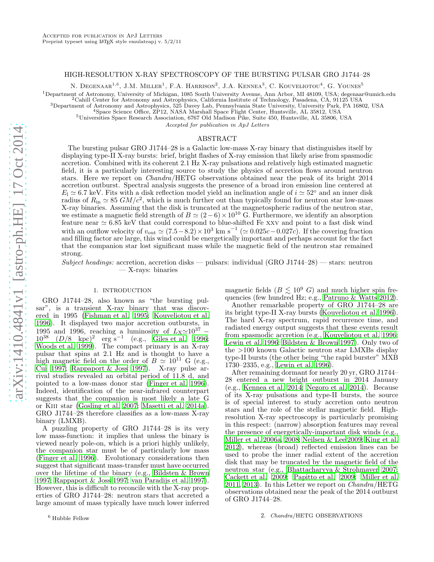# HIGH-RESOLUTION X-RAY SPECTROSCOPY OF THE BURSTING PULSAR GRO J1744–28

N. DEGENAAR<sup>1,6</sup>, J.M. MILLER<sup>1</sup>, F.A. HARRISON<sup>2</sup>, J.A. KENNEA<sup>3</sup>, C. KOUVELIOTOU<sup>4</sup>, G. YOUNES<sup>5</sup>

<sup>1</sup>Department of Astronomy, University of Michigan, 1085 South University Avenue, Ann Arbor, MI 48109, USA; degenaar@umich.edu

<sup>2</sup>Cahill Center for Astronomy and Astrophysics, California Institute of Technology, Pasadena, CA, 91125 USA

<sup>3</sup>Department of Astronomy and Astrophysics, 525 Davey Lab, Pennsylvania State University, University Park, PA 16802, USA

<sup>4</sup>Space Science Office, ZP12, NASA Marshall Space Flight Center, Huntsville, AL 35812, USA

<sup>5</sup>Universities Space Research Association, 6767 Old Madison Pike, Suite 450, Huntsville, AL 35806, USA

Accepted for publication in ApJ Letters

## ABSTRACT

The bursting pulsar GRO J1744–28 is a Galactic low-mass X-ray binary that distinguishes itself by displaying type-II X-ray bursts: brief, bright flashes of X-ray emission that likely arise from spasmodic accretion. Combined with its coherent 2.1 Hz X-ray pulsations and relatively high estimated magnetic field, it is a particularly interesting source to study the physics of accretion flows around neutron stars. Here we report on Chandra/HETG observations obtained near the peak of its bright 2014 accretion outburst. Spectral analysis suggests the presence of a broad iron emission line centered at  $E_1 \simeq 6.7$  keV. Fits with a disk reflection model yield an inclination angle of  $i \simeq 52°$  and an inner disk radius of  $R_{\rm in} \simeq 85$  GM/ $c^2$ , which is much further out than typically found for neutron star low-mass X-ray binaries. Assuming that the disk is truncated at the magnetospheric radius of the neutron star, we estimate a magnetic field strength of  $B \simeq (2-6) \times 10^{10}$  G. Furthermore, we identify an absorption feature near  $\simeq 6.85$  keV that could correspond to blue-shifted Fe xxv and point to a fast disk wind with an outflow velocity of  $v_{\text{out}} \simeq (7.5-8.2) \times 10^3 \text{ km s}^{-1} (\simeq 0.025c - 0.027c)$ . If the covering fraction and filling factor are large, this wind could be energetically important and perhaps account for the fact that the companion star lost significant mass while the magnetic field of the neutron star remained strong.

Subject headings: accretion, accretion disks — pulsars: individual  $(GRO J1744-28)$  — stars: neutron — X-rays: binaries

### 1. INTRODUCTION

GRO J1744–28, also known as "the bursting pulsar", is a transient X-ray binary that was discovered in 1995 [\(Fishman et al. 1995](#page-5-0); [Kouveliotou et al.](#page-5-1) [1996\)](#page-5-1). It displayed two major accretion outbursts, in 1995 and 1996, reaching a luminosity of  $L_X \simeq 10^{37}$  –  $10^{38}$   $(D/8 \text{ kpc})^2$  erg s<sup>-1</sup> (e.g., [Giles et al. 1996;](#page-5-2) [Woods et al. 1999\)](#page-5-3). The compact primary is an X-ray pulsar that spins at 2.1 Hz and is thought to have a high magnetic field on the order of  $B \simeq 10^{11}$  G (e.g., [Cui 1997](#page-5-4); Rappaport  $&$  Joss 1997). X-ray pulse arrival studies revealed an orbital period of 11.8 d, and pointed to a low-mass donor star [\(Finger et al. 1996\)](#page-5-6). Indeed, identification of the near-infrared counterpart suggests that the companion is most likely a late G or Kiii star [\(Gosling et al. 2007;](#page-5-7) [Masetti et al. 2014a\)](#page-5-8). GRO J1744–28 therefore classifies as a low-mass X-ray binary (LMXB).

A puzzling property of GRO J1744–28 is its very low mass-function: it implies that unless the binary is viewed nearly pole-on, which is a priori highly unlikely, the companion star must be of particularly low mass [\(Finger et al. 1996\)](#page-5-6). Evolutionary considerations then suggest that significant mass-transfer must have occurred over the lifetime of the binary (e.g., [Bildsten & Brown](#page-5-9) [1997;](#page-5-9) [Rappaport & Joss 1997;](#page-5-5) [van Paradijs et al. 1997\)](#page-5-10). However, this is difficult to reconcile with the X-ray properties of GRO J1744–28: neutron stars that accreted a large amount of mass typically have much lower inferred

magnetic fields  $(B \leq 10^9$  G) and much higher spin frequencies (few hundred Hz; e.g., [Patruno & Watts 2012](#page-5-11)).

Another remarkable property of GRO J1744–28 are its bright type-II X-ray bursts [\(Kouveliotou et al. 1996](#page-5-1)). The hard X-ray spectrum, rapid recurrence time, and radiated energy output suggests that these events result from spasmodic accretion (e.g., [Kouveliotou et al. 1996](#page-5-1); [Lewin et al. 1996;](#page-5-12) [Bildsten & Brown 1997\)](#page-5-9). Only two of the >100 known Galactic neutron star LMXBs display type-II bursts (the other being "the rapid burster" MXB 1730–2335, e.g., [Lewin et al. 1996\)](#page-5-12).

After remaining dormant for nearly 20 yr, GRO J1744– 28 entered a new bright outburst in 2014 January (e.g., [Kennea et al. 2014;](#page-5-13) [Negoro et al. 2014](#page-5-14)). Because of its X-ray pulsations and type-II bursts, the source is of special interest to study accretion onto neutron stars and the role of the stellar magnetic field. Highresolution X-ray spectroscopy is particularly promising in this respect: (narrow) absorption features may reveal the presence of energetically-important disk winds (e.g., [Miller et al. 2006a,](#page-5-15) [2008;](#page-5-16) [Neilsen & Lee 2009](#page-5-17); [King et al.](#page-5-18) [2012\)](#page-5-18), whereas (broad) reflected emission lines can be used to probe the inner radial extent of the accretion disk that may be truncated by the magnetic field of the neutron star (e.g., [Bhattacharyya & Strohmayer 2007](#page-5-19); [Cackett et al. 2009](#page-5-20); [Papitto et al. 2009;](#page-5-21) [Miller et al.](#page-5-22) [2011,](#page-5-22) [2013\)](#page-5-23). In this Letter we report on Chandra/HETG observations obtained near the peak of the 2014 outburst of GRO J1744–28.

## 2. Chandra/HETG OBSERVATIONS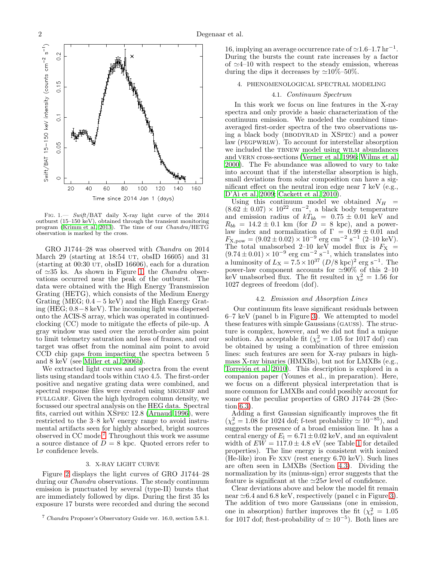

<span id="page-1-0"></span>FIG. 1. - Swift/BAT daily X-ray light curve of the 2014 outburst  $(15-150 \text{ keV})$ , obtained through the transient monitoring program [\(Krimm et al. 2013](#page-5-24)). The time of our Chandra/HETG observation is marked by the cross.

GRO J1744–28 was observed with Chandra on 2014 March 29 (starting at 18:54 UT, obsID 16605) and 31 (starting at  $00:30$  UT, obsID 16606), each for a duration of  $\simeq 35$  ks. As shown in Figure [1,](#page-1-0) the *Chandra* observations occurred near the peak of the outburst. The data were obtained with the High Energy Transmission Grating (HETG), which consists of the Medium Energy Grating (MEG;  $0.4 - 5 \text{ keV}$ ) and the High Energy Grating (HEG; 0.8−8 keV). The incoming light was dispersed onto the ACIS-S array, which was operated in continuedclocking (CC) mode to mitigate the effects of pile-up. A gray window was used over the zeroth-order aim point to limit telemetry saturation and loss of frames, and our target was offset from the nominal aim point to avoid CCD chip gaps from impacting the spectra between 5 and 8 keV (see [Miller et al. 2006b\)](#page-5-25).

We extracted light curves and spectra from the event lists using standard tools within ciao 4.5. The first-order positive and negative grating data were combined, and spectral response files were created using MKGRMF and FULLGARF. Given the high hydrogen column density, we focussed our spectral analysis on the HEG data. Spectral fits, carried out within XSpec 12.8 [\(Arnaud 1996\)](#page-5-26), were restricted to the 3–8 keV energy range to avoid instrumental artifacts seen for highly absorbed, bright sources observed in CC mode.<sup>7</sup> Throughout this work we assume a source distance of  $D = 8$  kpc. Quoted errors refer to  $1\sigma$  confidence levels.

## 3. X-RAY LIGHT CURVE

Figure [2](#page-2-0) displays the light curves of GRO J1744–28 during our *Chandra* observations. The steady continuum emission is punctuated by several (type-II) bursts that are immediately followed by dips. During the first 35 ks exposure 17 bursts were recorded and during the second

16, implying an average occurrence rate of  $\simeq$ 1.6–1.7 hr<sup>-1</sup>. During the bursts the count rate increases by a factor of  $\simeq$ 4–10 with respect to the steady emission, whereas during the dips it decreases by  $\simeq$ 10%–50%.

## 4. PHENOMENOLOGICAL SPECTRAL MODELING

## 4.1. Continuum Spectrum

In this work we focus on line features in the X-ray spectra and only provide a basic characterization of the continuum emission. We modeled the combined timeaveraged first-order spectra of the two observations using a black body (BBODYRAD in XSPEC) and a power law (PEGPWRLW). To account for interstellar absorption we included the TBNEW model using WILM abundances and VERN cross-sections [\(Verner et al. 1996;](#page-5-27) [Wilms et al.](#page-5-28) [2000\)](#page-5-28). The Fe abundance was allowed to vary to take into account that if the interstellar absorption is high, small deviations from solar composition can have a significant effect on the neutral iron edge near 7 keV (e.g., D'Aì et al. 2009; [Cackett et al. 2010](#page-5-30)).

Using this continuum model we obtained  $N_H = (8.62 \pm 0.07) \times 10^{22}$  cm<sup>-2</sup>, a black body temperature and emission radius of  $kT_{bb} = 0.75 \pm 0.01$  keV and  $R_{bb} = 14.2 \pm 0.1 \text{ km (for } D = 8 \text{ kpc})$ , and a powerlaw index and normalization of  $\Gamma = 0.99 \pm 0.01$  and  $F_{\text{X,pow}} = (9.02 \pm 0.02) \times 10^{-9} \text{ erg cm}^{-2} \text{ s}^{-1}$  (2-10 keV). The total unabsorbed 2–10 keV model flux is  $F_X = (9.74 \pm 0.01) \times 10^{-9}$  erg cm<sup>-2</sup> s<sup>-1</sup>, which translates into a luminosity of  $L_X = 7.5 \times 10^{37} (D/8 \text{ kpc})^2 \text{ erg s}^{-1}$ . The power-law component accounts for  $\simeq 90\%$  of this 2–10 keV unabsorbed flux. The fit resulted in  $\chi^2_{\nu} = 1.56$  for 1027 degrees of freedom (dof).

### 4.2. Emission and Absorption Lines

Our continuum fits leave significant residuals between 6–7 keV (panel b in Figure [3\)](#page-3-0). We attempted to model these features with simple Gaussians (gauss). The structure is complex, however, and we did not find a unique solution. An acceptable fit ( $\chi^2_{\nu} = 1.05$  for 1017 dof) can be obtained by using a combination of three emission lines: such features are seen for X-ray pulsars in highmass X-ray binaries (HMXBs), but not for LMXBs (e.g., Torrejon et al. 2010). This description is explored in a companion paper (Younes et al., in preparation). Here, we focus on a different physical interpretation that is more common for LMXBs and could possibly account for some of the peculiar properties of GRO J1744–28 (Section [6.3\)](#page-5-32).

Adding a first Gaussian significantly improves the fit  $(\chi^2_{\nu} = 1.08$  for 1024 dof; f-test probability  $\simeq 10^{-85}$ ), and suggests the presence of a broad emission line. It has a central energy of  $E_1 = 6.71 \pm 0.02$  keV, and an equivalent width of  $E\tilde{W} = 117.0 \pm 4.8$  $E\tilde{W} = 117.0 \pm 4.8$  $E\tilde{W} = 117.0 \pm 4.8$  eV (see Table 1 for detailed properties). The line energy is consistent with ionized (He-like) iron Fe xxv (rest energy 6.70 keV). Such lines are often seen in LMXBs (Section [4.3\)](#page-2-1). Dividing the normalization by its (minus-sign) error suggests that the feature is significant at the  $\approx 25\sigma$  level of confidence.

Clear deviations above and below the model fit remain near  $\simeq 6.4$  and 6.8 keV, respectively (panel c in Figure [3\)](#page-3-0). The addition of two more Gaussians (one in emission, one in absorption) further improves the fit  $(\chi^2_{\nu} = 1.05)$ for 1017 dof; ftest-probability of  $\simeq 10^{-5}$ ). Both lines are

<sup>7</sup> Chandra Proposer's Observatory Guide ver. 16.0, section 5.8.1.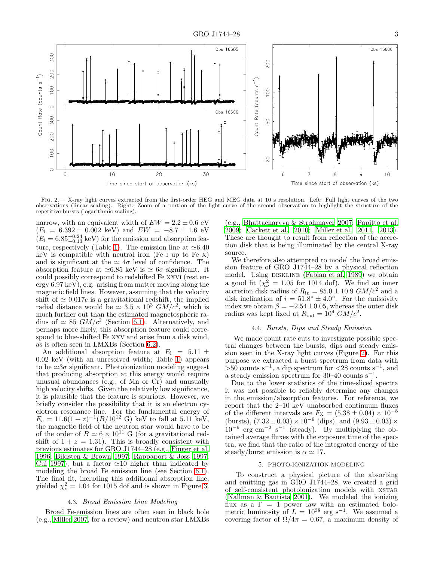

<span id="page-2-0"></span>Fig. 2.— X-ray light curves extracted from the first-order HEG and MEG data at 10 s resolution. Left: Full light curves of the two observations (linear scaling). Right: Zoom of a portion of the light curve of the second observation to highlight the structure of the repetitive bursts (logarithmic scaling).

narrow, with an equivalent width of  $EW = 2.2 \pm 0.6$  eV  $(E_1 = 6.392 \pm 0.002 \text{ keV})$  and  $EW = -8.7 \pm 1.6 \text{ eV}$  $(E_1 = 6.85^{+0.24}_{-0.13}$  keV) for the emission and absorption fea-ture, respectively (Table [1\)](#page-4-0). The emission line at  $\simeq 6.40$  $keV$  is compatible with neutral iron (Fe I up to Fe X) and is significant at the  $\simeq 4\sigma$  level of confidence. The absorption feature at  $\simeq 6.85$  keV is  $\simeq 6\sigma$  significant. It could possibly correspond to redshifted Fe xxvi (rest energy 6.97 keV), e.g. arising from matter moving along the magnetic field lines. However, assuming that the velocity shift of  $\simeq 0.017c$  is a gravitational redshift, the implied radial distance would be  $\simeq 3.5 \times 10^3$   $GM/c^2$ , which is much further out than the estimated magnetospheric radius of  $\simeq 85$   $GM/c^2$  (Section [6.1\)](#page-3-1). Alternatively, and perhaps more likely, this absorption feature could correspond to blue-shifted Fe xxv and arise from a disk wind, as is often seen in LMXBs (Section [6.2\)](#page-4-1).

An additional absorption feature at  $E_1 = 5.11 \pm 1.00$ 0.02 keV (with an unresolved width; Table [1\)](#page-4-0) appears to be  $\approx 3\sigma$  significant. Photoionization modeling suggest that producing absorption at this energy would require unusual abundances (e.g., of Mn or Cr) and unusually high velocity shifts. Given the relatively low significance, it is plausible that the feature is spurious. However, we briefly consider the possibility that it is an electron cyclotron resonance line. For the fundamental energy of  $E_e = 11.6(1+z)^{-1}(B/10^{12} \text{ G}) \text{ keV to fall at } 5.11 \text{ keV},$ the magnetic field of the neutron star would have to be of the order of  $B \simeq 6 \times 10^{11}$  G (for a gravitational redshift of  $1 + z = 1.31$ . This is broadly consistent with previous estimates for GRO J1744–28 (e.g., [Finger et al.](#page-5-6) [1996;](#page-5-6) [Bildsten & Brown 1997](#page-5-9); [Rappaport & Joss 1997;](#page-5-5) [Cui 1997\)](#page-5-4), but a factor  $\simeq$  10 higher than indicated by modeling the broad Fe emission line (see Section [6.1\)](#page-3-1). The final fit, including this additional absorption line, yielded  $\chi^2_{\nu} = 1.04$  for 1015 dof and is shown in Figure [3.](#page-3-0)

#### 4.3. Broad Emission Line Modeling

<span id="page-2-1"></span>Broad Fe-emission lines are often seen in black hole (e.g., [Miller 2007,](#page-5-33) for a review) and neutron star LMXBs

(e.g., [Bhattacharyya & Strohmayer 2007;](#page-5-19) [Papitto et al.](#page-5-21) [2009;](#page-5-21) [Cackett et al. 2010;](#page-5-30) [Miller et al. 2011,](#page-5-22) [2013](#page-5-23)). These are thought to result from reflection of the accretion disk that is being illuminated by the central X-ray source.

We therefore also attempted to model the broad emission feature of GRO J1744–28 by a physical reflection model. Using DISKLINE [\(Fabian et al. 1989\)](#page-5-34) we obtain a good fit  $(\chi^2_{\nu} = 1.05 \text{ for } 1014 \text{ dof})$ . We find an inner accretion disk radius of  $R_{\rm in} = 85.0 \pm 10.9$   $GM/c^2$  and a disk inclination of  $i = 51.8^{\circ} \pm 4.0^{\circ}$ . For the emissivity index we obtain  $\beta = -2.54 \pm 0.05$ , whereas the outer disk radius was kept fixed at  $R_{\text{out}} = 10^4 \text{ G}M/c^2$ .

# 4.4. Bursts, Dips and Steady Emission

We made count rate cuts to investigate possible spectral changes between the bursts, dips and steady emission seen in the X-ray light curves (Figure [2\)](#page-2-0). For this purpose we extracted a burst spectrum from data with  $>$ 50 counts s<sup>-1</sup>, a dip spectrum for <28 counts s<sup>-1</sup>, and a steady emission spectrum for  $30-40$  counts s<sup>-1</sup>.

Due to the lower statistics of the time-sliced spectra it was not possible to reliably determine any changes in the emission/absorption features. For reference, we report that the 2–10 keV unabsorbed continuum fluxes of the different intervals are  $F_X = (5.38 \pm 0.04) \times 10^{-8}$ (bursts),  $(7.32 \pm 0.03) \times 10^{-9}$  (dips), and  $(9.93 \pm 0.03) \times$  $10^{-9}$  erg cm<sup>-2</sup> s<sup>-1</sup> (steady). By multiplying the obtained average fluxes with the exposure time of the spectra, we find that the ratio of the integrated energy of the steady/burst emission is  $\alpha \simeq 17$ .

# 5. PHOTO-IONIZATION MODELING

To construct a physical picture of the absorbing and emitting gas in GRO J1744–28, we created a grid of self-consistent photoionization models with XSTAR [\(Kallman & Bautista 2001\)](#page-5-35). We modeled the ionizing flux as a  $\Gamma = 1$  power law with an estimated bolometric luminosity of  $L = 10^{38}$  erg s<sup>-1</sup>. We assumed a covering factor of  $\Omega/4\pi = 0.67$ , a maximum density of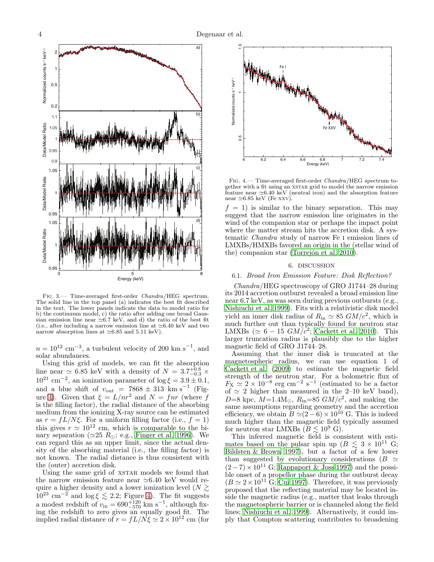

<span id="page-3-0"></span>Fig. 3.— Time-averaged first-order Chandra/HEG spectrum. The solid line in the top panel (a) indicates the best fit described in the text. The lower panels indicate the data to model ratio for b) the continuum model, c) the ratio after adding one broad Gaussian emission line near  $\simeq 6.7$  keV, and d) the ratio of the best fit (i.e., after including a narrow emission line at ≃6.40 keV and two narrow absorption lines at ≃6.85 and 5.11 keV).

 $n = 10^{12}$  cm<sup>-3</sup>, a turbulent velocity of 200 km s<sup>-1</sup>, and solar abundances.

Using this grid of models, we can fit the absorption line near  $\simeq 6.85$  keV with a density of  $N = 3.7^{+0.6}_{-0.3}$  ×  $10^{21}$  cm<sup>-2</sup>, an ionization parameter of  $\log \xi = 3.9 \pm 0.1$ , and a blue shift of  $v_{\text{out}}$  = 7868  $\pm$  313 km s<sup>-1</sup> (Fig-ure [4\)](#page-3-2). Given that  $\xi = L/nr^2$  and  $N = fnr$  (where f is the filling factor), the radial distance of the absorbing medium from the ionizing X-ray source can be estimated as  $r = fL/N\xi$ . For a uniform filling factor (i.e.,  $f = 1$ ) this gives  $r \simeq 10^{12}$  cm, which is comparable to the binary separation ( $\simeq$ 25  $R_{\odot}$ ; e.g., [Finger et al. 1996\)](#page-5-6). We can regard this as an upper limit, since the actual density of the absorbing material (i.e., the filling factor) is not known. The radial distance is thus consistent with the (outer) accretion disk.

Using the same grid of XSTAR models we found that the narrow emission feature near ≃6.40 keV would require a higher density and a lower ionization level ( $N \gtrsim$  $10^{23}$  cm<sup>-2</sup> and log  $\xi \lesssim 2.2$ ; Figure [4\)](#page-3-2). The fit suggests a modest redshift of  $v_{\rm in} = 690^{+120}_{-570}$  km s<sup>-1</sup>, although fixing the redshift to zero gives an equally good fit. The implied radial distance of  $r = fL/\overline{N}\xi \simeq 2 \times 10^{12}$  cm (for



<span id="page-3-2"></span>Fig. 4.— Time-averaged first-order Chandra/HEG spectrum together with a fit using an xstar grid to model the narrow emission feature near ≃6.40 keV (neutral iron) and the absorption feature near  $\simeq 6.85$  keV (Fe xxv)

 $f = 1$ ) is similar to the binary separation. This may suggest that the narrow emission line originates in the wind of the companion star or perhaps the impact point where the matter stream hits the accretion disk. A systematic Chandra study of narrow Fe i emission lines of LMXBs/HMXBs favored an origin in the (stellar wind of the) companion star (Torrejón et al. 2010).

### 6. DISCUSSION

#### <span id="page-3-1"></span>6.1. Broad Iron Emission Feature: Disk Reflection?

Chandra/HEG spectroscopy of GRO J1744–28 during its 2014 accretion outburst revealed a broad emission line near 6.7 keV, as was seen during previous outbursts (e.g., [Nishiuchi et al. 1999](#page-5-36)). Fits with a relativistic disk model yield an inner disk radius of  $R_{\text{in}} \simeq 85 \text{ G}M/c^2$ , which is much further out than typically found for neutron star LMXBs ( $\simeq 6-15$   $GM/c^2$ ; [Cackett et al. 2010\)](#page-5-30). This larger truncation radius is plausibly due to the higher magnetic field of GRO J1744–28.

Assuming that the inner disk is truncated at the magnetospheric radius, we can use equation 1 of [Cackett et al. \(2009](#page-5-20)) to estimate the magnetic field strength of the neutron star. For a bolometric flux of  $F_X \simeq 2 \times 10^{-8}$  erg cm<sup>-2</sup> s<sup>-1</sup> (estimated to be a factor of  $\simeq$  2 higher than measured in the 2–10 keV band), D=8 kpc,  $M=1.4M_{\odot}$ ,  $R_{in}=85$   $GM/c^2$ , and making the same assumptions regarding geometry and the accretion efficiency, we obtain  $\tilde{B} \simeq (2 - 6) \times 10^{10}$  G. This is indeed much higher than the magnetic field typically assumed for neutron star LMXBs ( $\tilde{B} \lesssim 10^9$  G).

This inferred magnetic field is consistent with estimates based on the pulsar spin up ( $B \leq 3 \times 10^{11}$  G; [Bildsten & Brown 1997\)](#page-5-9), but a factor of a few lower than suggested by evolutionary considerations ( $B \simeq$  $(2-7) \times 10^{11}$  G; [Rappaport & Joss 1997\)](#page-5-5) and the possible onset of a propellor phase during the outburst decay  $(B \simeq 2 \times 10^{11} \text{ G};$  [Cui 1997\)](#page-5-4). Therefore, it was previously proposed that the reflecting material may be located inside the magnetic radius (e.g., matter that leaks through the magnetospheric barrier or is channeled along the field lines; [Nishiuchi et al. 1999\)](#page-5-36). Alternatively, it could imply that Compton scattering contributes to broadening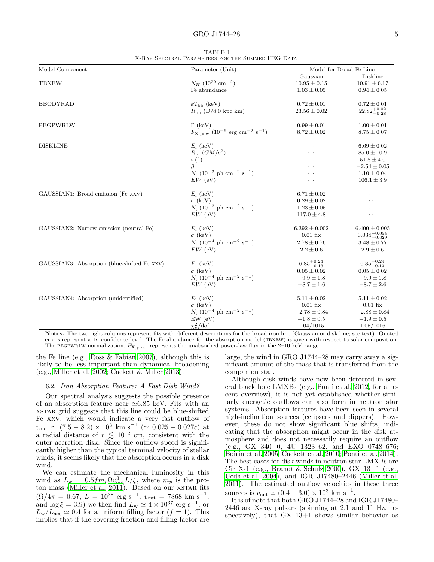### GRO J1744–28 5

<span id="page-4-0"></span>

| Model Component                             | Parameter (Unit)                                                            | Model for Broad Fe Line |                           |
|---------------------------------------------|-----------------------------------------------------------------------------|-------------------------|---------------------------|
|                                             |                                                                             | Gaussian                | Diskline                  |
| <b>TBNEW</b>                                | $N_H$ (10 <sup>22</sup> cm <sup>-2</sup> )                                  | $10.95 \pm 0.15$        | $10.91 \pm 0.17$          |
|                                             | Fe abundance                                                                | $1.03 \pm 0.05$         | $0.94 \pm 0.05$           |
| <b>BBODYRAD</b>                             | $kT_{\rm bb}$ (keV)                                                         | $0.72 \pm 0.01$         | $0.72 \pm 0.01$           |
|                                             | $R_{\rm bb}$ (D/8.0 kpc km)                                                 | $23.56 \pm 0.02$        | $22.82^{+0.02}_{-0.28}$   |
| PEGPWRLW                                    | $\Gamma$ (keV)                                                              | $0.99 \pm 0.01$         | $1.00 \pm 0.01$           |
|                                             | $F_{\text{X,pow}}$ (10 <sup>-9</sup> erg cm <sup>-2</sup> s <sup>-1</sup> ) | $8.72 \pm 0.02$         | $8.75 \pm 0.07$           |
| <b>DISKLINE</b>                             | $E_1$ (keV)                                                                 | $\cdots$                | $6.69 \pm 0.02$           |
|                                             | $R_{\rm in}$ $(GM/c^2)$                                                     | .                       | $85.0 \pm 10.9$           |
|                                             | $i\ (^\circ)$                                                               | .                       | $51.8 \pm 4.0$            |
|                                             | $\beta$                                                                     | .                       | $-2.54 \pm 0.05$          |
|                                             | $N_1$ (10 <sup>-2</sup> ph cm <sup>-2</sup> s <sup>-1</sup> )               | .                       | $1.10 \pm 0.04$           |
|                                             | $EW$ (eV)                                                                   | .                       | $106.1 \pm 3.9$           |
| GAUSSIAN1: Broad emission (Fe XXV)          | $E_1$ (keV)                                                                 | $6.71 \pm 0.02$         | .                         |
|                                             | $\sigma$ (keV)                                                              | $0.29 \pm 0.02$         | .                         |
|                                             | $N_1 (10^{-2} \text{ ph cm}^{-2} \text{ s}^{-1})$                           | $1.23 \pm 0.05$         | .                         |
|                                             | $EW$ (eV)                                                                   | $117.0 \pm 4.8$         | .                         |
| GAUSSIAN2: Narrow emission (neutral Fe)     | $E_1$ (keV)                                                                 | $6.392 \pm 0.002$       | $6.400 \pm 0.005$         |
|                                             | $\sigma$ (keV)                                                              | $0.01$ fix              | $0.034_{-0.029}^{+0.054}$ |
|                                             | $N_1$ (10 <sup>-4</sup> ph cm <sup>-2</sup> s <sup>-1</sup> )               | $2.78 \pm 0.76$         | $3.48 \pm 0.77$           |
|                                             | $EW$ (eV)                                                                   | $2.2 \pm 0.6$           | $2.9 \pm 0.6$             |
| GAUSSIAN3: Absorption (blue-shifted Fe XXV) | $E_1$ (keV)                                                                 | $6.85_{-0.13}^{+0.24}$  | $6.85_{-0.13}^{+0.24}$    |
|                                             | $\sigma$ (keV)                                                              | $0.05 \pm 0.02$         | $0.05 \pm 0.02$           |
|                                             | $N_1 (10^{-4} \text{ ph cm}^{-2} \text{ s}^{-1})$                           | $-9.9 \pm 1.8$          | $-9.9 \pm 1.8$            |
|                                             | $EW$ (eV)                                                                   | $-8.7 \pm 1.6$          | $-8.7 \pm 2.6$            |
| GAUSSIAN4: Absorption (unidentified)        | $E_1$ (keV)                                                                 | $5.11 \pm 0.02$         | $5.11 \pm 0.02$           |
|                                             | $\sigma$ (keV)                                                              | $0.01$ fix              | $0.01$ fix                |
|                                             | $N_1 (10^{-4} \text{ ph cm}^{-2} \text{ s}^{-1})$                           | $-2.78 \pm 0.84$        | $-2.88 \pm 0.84$          |
|                                             | $EW$ (eV)                                                                   | $-1.8 \pm 0.5$          | $-1.9 \pm 0.5$            |
|                                             | $\chi^2_{\nu}/\text{dof}$                                                   | 1.04/1015               | 1.05/1016                 |

TABLE 1 X-Ray Spectral Parameters for the Summed HEG Data

Notes. The two right columns represent fits with different descriptions for the broad iron line (Gaussian or disk line; see text). Quoted errors represent a  $1\sigma$  confidence level. The Fe abundance for the absorption model (TBNEW) is given with respect to solar composition. The PEGPWRLW normalization,  $F_{\text{X,pow}}$ , represents the unabsorbed power-law flux in the 2–10 keV range.

the Fe line (e.g., [Ross & Fabian 2007\)](#page-5-37), although this is likely to be less important than dynamical broadening (e.g., [Miller et al. 2002](#page-5-38); [Cackett & Miller 2013](#page-5-39)).

## <span id="page-4-1"></span>6.2. Iron Absorption Feature: A Fast Disk Wind?

Our spectral analysis suggests the possible presence of an absorption feature near ≃6.85 keV. Fits with an xstar grid suggests that this line could be blue-shifted Fe xxv, which would indicate a very fast outflow of  $v_{\text{out}} \simeq (7.5 - 8.2) \times 10^3 \text{ km s}^{-1} (\simeq 0.025 - 0.027c) \text{ at}$ a radial distance of  $r \lesssim 10^{12}$  cm, consistent with the outer accretion disk. Since the outflow speed is significantly higher than the typical terminal velocity of stellar winds, it seems likely that the absorption occurs in a disk wind.

We can estimate the mechanical luminosity in this wind as  $L_{\rm w} = 0.5 f m_p \Omega v_{\rm out}^3 L/\xi$ , where  $m_p$  is the pro-ton mass [\(Miller et al. 2011\)](#page-5-22). Based on our XSTAR fits  $(\Omega/4\pi = 0.67, L = 10^{38} \text{ erg s}^{-1}, v_{\text{out}} = 7868 \text{ km s}^{-1},$ and  $\log \xi = 3.9$ ) we then find  $L_{\rm w} \simeq 4 \times 10^{37}$  erg s<sup>-1</sup>, or  $L_{\rm w}/L_{\rm acc} \simeq 0.4$  for a uniform filling factor  $(f = 1)$ . This implies that if the covering fraction and filling factor are

large, the wind in GRO J1744–28 may carry away a significant amount of the mass that is transferred from the companion star.

Although disk winds have now been detected in several black hole LMXBs (e.g., [Ponti et al. 2012,](#page-5-40) for a recent overview), it is not yet established whether similarly energetic outflows can also form in neutron star systems. Absorption features have been seen in several high-inclination sources (eclipsers and dippers). However, these do not show significant blue shifts, indicating that the absorption might occur in the disk atmosphere and does not necessarily require an outflow (e.g., GX 340+0, 4U 1323–62, and EXO 0748–676; [Boirin et al. 2005;](#page-5-41) [Cackett et al. 2010;](#page-5-30) [Ponti et al. 2014](#page-5-42)). The best cases for disk winds in neutron star LMXBs are Cir X-1 (e.g., [Brandt & Schulz 2000\)](#page-5-43), GX 13+1 (e.g., [Ueda et al. 2004\)](#page-5-44), and IGR J17480–2446 [\(Miller et al.](#page-5-22) [2011\)](#page-5-22). The estimated outflow velocities in these three sources is  $v_{\text{out}} \simeq (0.4 - 3.0) \times 10^3 \text{ km s}^{-1}$ .

It is of note that both GRO J1744–28 and IGR J17480– 2446 are X-ray pulsars (spinning at 2.1 and 11 Hz, respectively), that  $GX \ 13+1$  shows similar behavior as